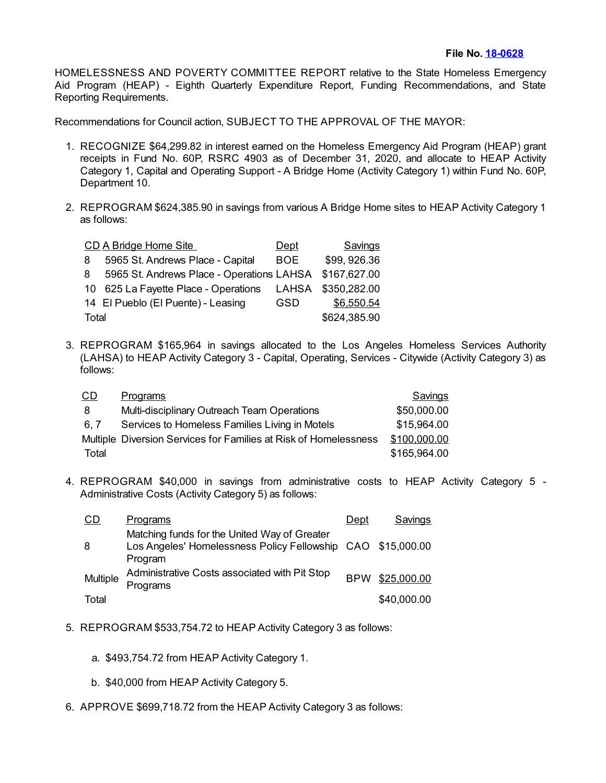HOMELESSNESS AND POVERTY COMMITTEE REPORT relative to the State Homeless Emergency Aid Program (HEAP) - Eighth Quarterly Expenditure Report, Funding Recommendations, and State Reporting Requirements.

Recommendations for Council action, SUBJECT TO THE APPROVAL OF THE MAYOR:

- 1. RECOGNIZE \$64,299.82 in interest earned on the Homeless Emergency Aid Program (HEAP) grant receipts in Fund No. 60P, RSRC 4903 as of December 31, 2020, and allocate to HEAP Activity Category 1, Capital and Operating Support - A Bridge Home (Activity Category 1) within Fund No. 60P, Department 10.
- 2. REPROGRAM \$624,385.90 in savings from various A Bridge Home sites to HEAP Activity Category 1 as follows:

|       | CD A Bridge Home Site                     | Dept         | Savings      |
|-------|-------------------------------------------|--------------|--------------|
| 8     | 5965 St. Andrews Place - Capital          | <b>BOE</b>   | \$99,926.36  |
| 8     | 5965 St. Andrews Place - Operations LAHSA |              | \$167,627.00 |
|       | 10 625 La Fayette Place - Operations      | <b>LAHSA</b> | \$350,282.00 |
|       | 14 El Pueblo (El Puente) - Leasing        | <b>GSD</b>   | \$6,550.54   |
| Total |                                           | \$624,385.90 |              |

3. REPROGRAM \$165,964 in savings allocated to the Los Angeles Homeless Services Authority (LAHSA) to HEAP Activity Category 3 - Capital, Operating, Services - Citywide (Activity Category 3) as follows:

| <u>CD</u> | <b>Programs</b>                                                  | Savings      |
|-----------|------------------------------------------------------------------|--------------|
| 8         | Multi-disciplinary Outreach Team Operations                      | \$50,000.00  |
| 6.7       | Services to Homeless Families Living in Motels                   | \$15,964.00  |
|           | Multiple Diversion Services for Families at Risk of Homelessness | \$100,000.00 |
| Total     |                                                                  | \$165,964.00 |

4. REPROGRAM \$40,000 in savings from administrative costs to HEAP Activity Category 5 - Administrative Costs (Activity Category 5) as follows:

| CD       | <u>Programs</u>                                                                                                        | Dept       | Savings     |
|----------|------------------------------------------------------------------------------------------------------------------------|------------|-------------|
| 8        | Matching funds for the United Way of Greater<br>Los Angeles' Homelessness Policy Fellowship CAO \$15,000.00<br>Program |            |             |
| Multiple | Administrative Costs associated with Pit Stop<br>Programs                                                              | <b>BPW</b> | \$25,000.00 |
| Total    |                                                                                                                        |            | \$40,000.00 |

- 5. REPROGRAM \$533,754.72 to HEAP Activity Category 3 as follows:
	- a. \$493,754.72 from HEAP Activity Category 1.
	- b. \$40,000 from HEAP Activity Category 5.
- 6. APPROVE \$699,718.72 from the HEAP Activity Category 3 as follows: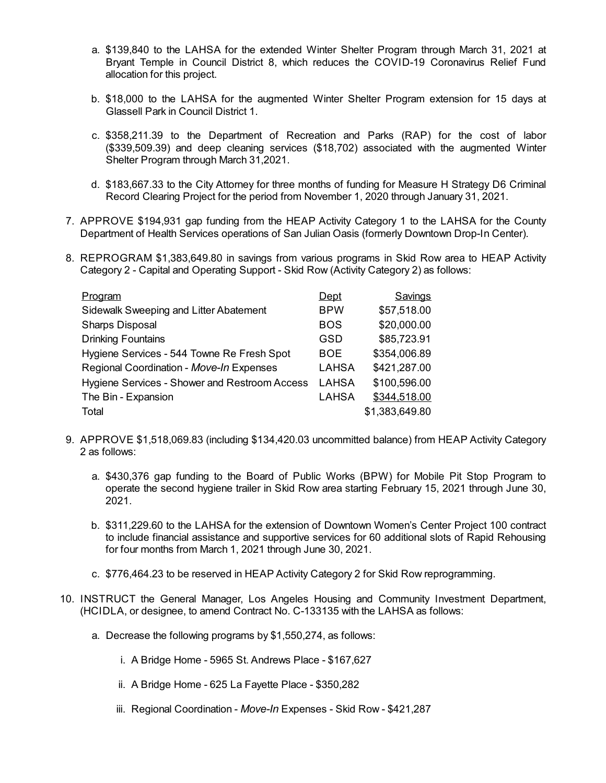- a. \$139,840 to the LAHSA for the extended Winter Shelter Program through March 31, 2021 at Bryant Temple in Council District 8, which reduces the COVID-19 Coronavirus Relief Fund allocation for this project.
- b. \$18,000 to the LAHSA for the augmented Winter Shelter Program extension for 15 days at Glassell Park in Council District 1.
- c. \$358,211.39 to the Department of Recreation and Parks (RAP) for the cost of labor (\$339,509.39) and deep cleaning services (\$18,702) associated with the augmented Winter Shelter Program through March 31,2021.
- d. \$183,667.33 to the City Attorney for three months of funding for Measure H Strategy D6 Criminal Record Clearing Project for the period from November 1, 2020 through January 31, 2021.
- 7. APPROVE \$194,931 gap funding from the HEAP Activity Category 1 to the LAHSA for the County Department of Health Services operations of San Julian Oasis (formerly Downtown Drop-In Center).
- 8. REPROGRAM \$1,383,649.80 in savings from various programs in Skid Row area to HEAP Activity Category 2 - Capital and Operating Support - Skid Row (Activity Category 2) as follows:

| Program                                       | Dept         | Savings        |
|-----------------------------------------------|--------------|----------------|
| Sidewalk Sweeping and Litter Abatement        | <b>BPW</b>   | \$57,518.00    |
| <b>Sharps Disposal</b>                        | <b>BOS</b>   | \$20,000.00    |
| <b>Drinking Fountains</b>                     | GSD          | \$85,723.91    |
| Hygiene Services - 544 Towne Re Fresh Spot    | <b>BOE</b>   | \$354,006.89   |
| Regional Coordination - Move-In Expenses      | <b>LAHSA</b> | \$421,287.00   |
| Hygiene Services - Shower and Restroom Access | LAHSA        | \$100,596.00   |
| The Bin - Expansion                           | <b>LAHSA</b> | \$344,518.00   |
| Total                                         |              | \$1,383,649.80 |

- 9. APPROVE \$1,518,069.83 (including \$134,420.03 uncommitted balance) from HEAP Activity Category 2 as follows:
	- a. \$430,376 gap funding to the Board of Public Works (BPW) for Mobile Pit Stop Program to operate the second hygiene trailer in Skid Row area starting February 15, 2021 through June 30, 2021.
	- b. \$311,229.60 to the LAHSA for the extension of Downtown Women's Center Project 100 contract to include financial assistance and supportive services for 60 additional slots of Rapid Rehousing for four months from March 1, 2021 through June 30, 2021.
	- c. \$776,464.23 to be reserved in HEAP Activity Category 2 for Skid Row reprogramming.
- 10. INSTRUCT the General Manager, Los Angeles Housing and Community Investment Department, (HCIDLA, or designee, to amend Contract No. C-133135 with the LAHSA as follows:
	- a. Decrease the following programs by \$1,550,274, as follows:
		- i. A Bridge Home 5965 St. Andrews Place \$167,627
		- ii. A Bridge Home 625 La Fayette Place \$350,282
		- iii. Regional Coordination *Move-In* Expenses Skid Row \$421,287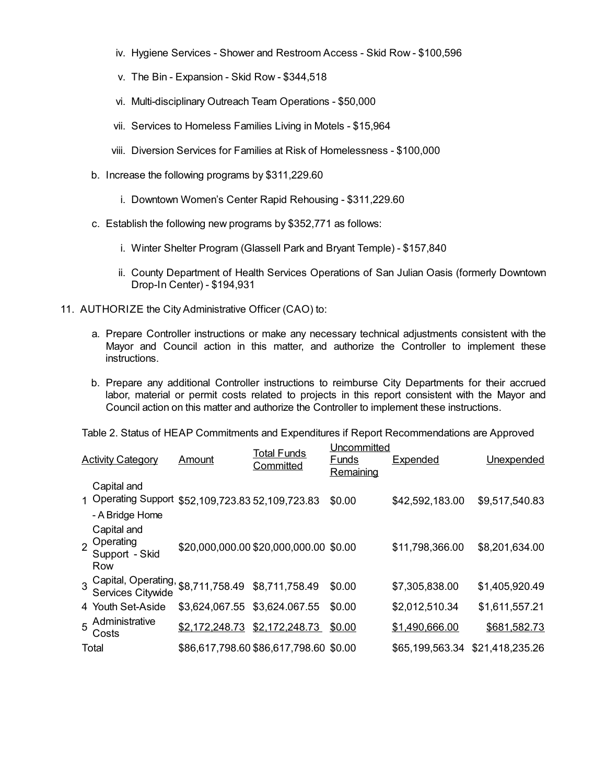- iv. Hygiene Services Shower and Restroom Access Skid Row \$100,596
- v. The Bin Expansion Skid Row \$344,518
- vi. Multi-disciplinary Outreach Team Operations \$50,000
- vii. Services to Homeless Families Living in Motels \$15,964
- viii. Diversion Services for Families at Risk of Homelessness \$100,000
- b. Increase the following programs by \$311,229.60
	- i. Downtown Women's Center Rapid Rehousing \$311,229.60
- c. Establish the following new programs by \$352,771 as follows:
	- i. Winter Shelter Program (Glassell Park and Bryant Temple) \$157,840
	- ii. County Department of Health Services Operations of San Julian Oasis (formerly Downtown Drop-In Center) - \$194,931
- 11. AUTHORIZE the City Administrative Officer (CAO) to:
	- a. Prepare Controller instructions or make any necessary technical adjustments consistent with the Mayor and Council action in this matter, and authorize the Controller to implement these instructions.
	- b. Prepare any additional Controller instructions to reimburse City Departments for their accrued labor, material or permit costs related to projects in this report consistent with the Mayor and Council action on this matter and authorize the Controller to implement these instructions.

Table 2. Status of HEAP Commitments and Expenditures if Report Recommendations are Approved

|                | <b>Activity Category</b>                                                            | Amount                        | <b>Total Funds</b><br>Committed        | Uncommitted<br><u>Funds</u><br>Remaining | <b>Expended</b> | Unexpended      |
|----------------|-------------------------------------------------------------------------------------|-------------------------------|----------------------------------------|------------------------------------------|-----------------|-----------------|
|                | Capital and<br>1 Operating Support \$52,109,723.83 52,109,723.83<br>- A Bridge Home |                               |                                        | \$0.00                                   | \$42,592,183.00 | \$9,517,540.83  |
| $\overline{2}$ | Capital and<br>Operating<br>Support - Skid<br>Row                                   |                               | \$20,000,000.00 \$20,000,000.00 \$0.00 |                                          | \$11,798,366.00 | \$8,201,634.00  |
|                | 3 Capital, Operating,<br>Services Citywide                                          | \$8,711,758.49 \$8,711,758.49 |                                        | \$0.00                                   | \$7,305,838.00  | \$1,405,920.49  |
|                | 4 Youth Set-Aside                                                                   | \$3,624,067.55 \$3,624.067.55 |                                        | \$0.00                                   | \$2,012,510.34  | \$1,611,557.21  |
| 5              | Administrative<br>Costs                                                             | \$2,172,248.73                | \$2,172,248.73                         | \$0.00                                   | \$1,490,666.00  | \$681,582.73    |
|                | Total                                                                               |                               | \$86,617,798.60 \$86,617,798.60 \$0.00 |                                          | \$65,199,563.34 | \$21,418,235.26 |